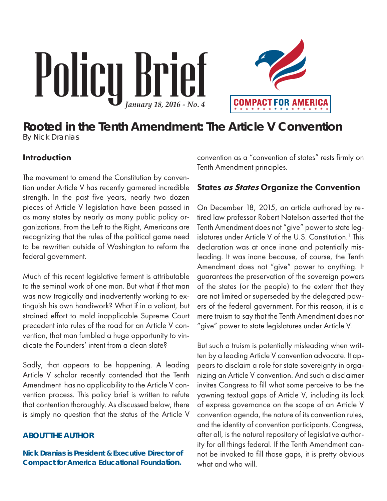# Policy Brief *January 18, 2016 - No. 4*



# **Rooted in the Tenth Amendment: The Article V Convention** By Nick Dranias

## Introduction

The movement to amend the Constitution by convention under Article V has recently garnered incredible strength. In the past five years, nearly two dozen pieces of Article V legislation have been passed in as many states by nearly as many public policy organizations. From the Left to the Right, Americans are recognizing that the rules of the political game need to be rewritten outside of Washington to reform the federal government.

Much of this recent legislative ferment is attributable to the seminal work of one man. But what if that man was now tragically and inadvertently working to extinguish his own handiwork? What if in a valiant, but strained effort to mold inapplicable Supreme Court precedent into rules of the road for an Article V convention, that man fumbled a huge opportunity to vindicate the Founders' intent from a clean slate?

Sadly, that appears to be happening. A leading Article V scholar recently contended that the Tenth Amendment has no applicability to the Article V convention process. This policy brief is written to refute that contention thoroughly. As discussed below, there is simply no question that the status of the Article V

## **ABOUT THE AUTHOR**

**Nick Dranias is President & Executive Director of Compact for America Educational Foundation.**

convention as a "convention of states" rests firmly on Tenth Amendment principles.

## States *as States* Organize the Convention

On December 18, 2015, an article authored by retired law professor Robert Natelson asserted that the Tenth Amendment does not "give" power to state legislatures under Article V of the U.S. Constitution.<sup>1</sup> This declaration was at once inane and potentially misleading. It was inane because, of course, the Tenth Amendment does not "give" power to anything. It guarantees the preservation of the sovereign powers of the states (or the people) to the extent that they are not limited or superseded by the delegated powers of the federal government. For this reason, it is a mere truism to say that the Tenth Amendment does not "give" power to state legislatures under Article V.

But such a truism is potentially misleading when written by a leading Article V convention advocate. It appears to disclaim a role for state sovereignty in organizing an Article V convention. And such a disclaimer invites Congress to fill what some perceive to be the yawning textual gaps of Article V, including its lack of express governance on the scope of an Article V convention agenda, the nature of its convention rules, and the identity of convention participants. Congress, after all, is the natural repository of legislative authority for all things federal. If the Tenth Amendment cannot be invoked to fill those gaps, it is pretty obvious what and who will.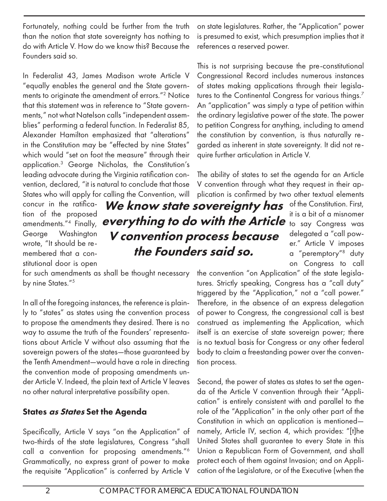Fortunately, nothing could be further from the truth than the notion that state sovereignty has nothing to do with Article V. How do we know this? Because the Founders said so.

In Federalist 43, James Madison wrote Article V "equally enables the general and the State governments to originate the amendment of errors."2 Notice that this statement was in reference to "State governments," not what Natelson calls "independent assemblies" performing a federal function. In Federalist 85, Alexander Hamilton emphasized that "alterations" in the Constitution may be "effected by nine States" which would "set on foot the measure" through their application.3 George Nicholas, the Constitution's leading advocate during the Virginia ratification convention, declared, "it is natural to conclude that those States who will apply for calling the Convention, will

concur in the ratification of the proposed amendments."4 Finally, George Washington wrote, "It should be remembered that a constitutional door is open

everything to do with the Article to say Congress was We know state sovereignty has V convention process because the Founders said so.

for such amendments as shall be thought necessary by nine States."<sup>5</sup>

In all of the foregoing instances, the reference is plainly to "states" as states using the convention process to propose the amendments they desired. There is no way to assume the truth of the Founders' representations about Article V without also assuming that the sovereign powers of the states—those guaranteed by the Tenth Amendment—would have a role in directing the convention mode of proposing amendments under Article V. Indeed, the plain text of Article V leaves no other natural interpretative possibility open.

## States as States Set the Agenda

Specifically, Article V says "on the Application" of two-thirds of the state legislatures, Congress "shall call a convention for proposing amendments."6 Grammatically, no express grant of power to make the requisite "Application" is conferred by Article V

on state legislatures. Rather, the "Application" power is presumed to exist, which presumption implies that it references a reserved power.

This is not surprising because the pre-constitutional Congressional Record includes numerous instances of states making applications through their legislatures to the Continental Congress for various things.<sup>7</sup> An "application" was simply a type of petition within the ordinary legislative power of the state. The power to petition Congress for anything, including to amend the constitution by convention, is thus naturally regarded as inherent in state sovereignty. It did not require further articulation in Article V.

The ability of states to set the agenda for an Article V convention through what they request in their application is confirmed by two other textual elements

> of the Constitution. First, it is a bit of a misnomer delegated a "call power." Article V imposes a "peremptory"8 duty on Congress to call

the convention "on Application" of the state legislatures. Strictly speaking, Congress has a "call duty" triggered by the "Application," not a "call power." Therefore, in the absence of an express delegation of power to Congress, the congressional call is best construed as implementing the Application, which itself is an exercise of state sovereign power; there is no textual basis for Congress or any other federal body to claim a freestanding power over the convention process.

Second, the power of states as states to set the agenda of the Article V convention through their "Application" is entirely consistent with and parallel to the role of the "Application" in the only other part of the Constitution in which an application is mentioned namely, Article IV, section 4, which provides: "[t]he United States shall guarantee to every State in this Union a Republican Form of Government, and shall protect each of them against Invasion; and on Application of the Legislature, or of the Executive (when the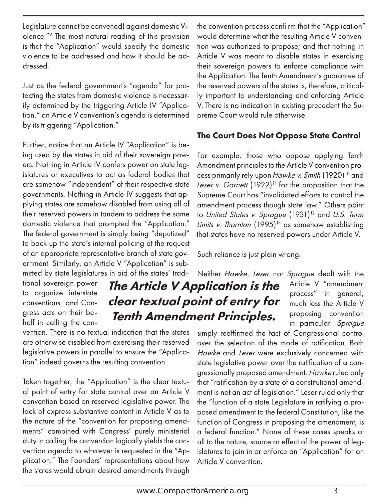Legislature cannot be convened) against domestic Violence."9 The most natural reading of this provision is that the "Application" would specify the domestic violence to be addressed and how it should be addressed.

Just as the federal government's "agenda" for protecting the states from domestic violence is necessarily determined by the triggering Article IV "Application," an Article V convention's agenda is determined by its triggering "Application."

Further, notice that an Article IV "Application" is being used by the states in aid of their sovereign powers. Nothing in Article IV confers power on state legislatures or executives to act as federal bodies that are somehow "independent" of their respective state governments. Nothing in Article IV suggests that applying states are somehow disabled from using all of their reserved powers in tandem to address the same domestic violence that prompted the "Application." The federal government is simply being "deputized" to back up the state's internal policing at the request of an appropriate representative branch of state government. Similarly, an Article V "Application" is submitted by state legislatures in aid of the states' tradi-

tional sovereign power to organize interstate conventions, and Congress acts on their behalf in calling the con-

vention. There is no textual indication that the states are otherwise disabled from exercising their reserved legislative powers in parallel to ensure the "Application" indeed governs the resulting convention.

Taken together, the "Application" is the clear textual point of entry for state control over an Article V convention based on reserved legislative power. The lack of express substantive content in Article V as to the nature of the "convention for proposing amendments" combined with Congress' purely ministerial duty in calling the convention logically yields the convention agenda to whatever is requested in the "Application." The Founders' representations about how the states would obtain desired amendments through

the convention process confi rm that the "Application" would determine what the resulting Article V convention was authorized to propose; and that nothing in Article V was meant to disable states in exercising their sovereign powers to enforce compliance with the Application. The Tenth Amendment's guarantee of the reserved powers of the states is, therefore, critically important to understanding and enforcing Article V. There is no indication in existing precedent the Supreme Court would rule otherwise.

## The Court Does Not Oppose State Control

For example, those who oppose applying Tenth Amendment principles to the Article V convention process primarily rely upon Hawke v. Smith (1920)<sup>10</sup> and *Leser v. Garnett* (1922)<sup>11</sup> for the proposition that the Supreme Court has "invalidated efforts to control the amendment process though state law." Others point to United States v. Sprague (1931)<sup>12</sup> and U.S. Term Limits v. Thornton (1995)<sup>13</sup> as somehow establishing that states have no reserved powers under Article V.

Such reliance is just plain wrong.

# The Article V Application is the clear textual point of entry for Tenth Amendment Principles.

Neither Hawke, Leser nor Sprague dealt with the Article V "amendment process" in general, much less the Article V proposing convention in particular. Sprague

simply reaffirmed the fact of Congressional control over the selection of the mode of ratification. Both Hawke and Leser were exclusively concerned with state legislative power over the ratification of a congressionally proposed amendment. Hawke ruled only that "ratification by a state of a constitutional amendment is not an act of legislation." Leser ruled only that the "function of a state Legislature in ratifying a proposed amendment to the federal Constitution, like the function of Congress in proposing the amendment, is a federal function." None of these cases speaks at all to the nature, source or effect of the power of legislatures to join in or enforce an "Application" for an Article V convention.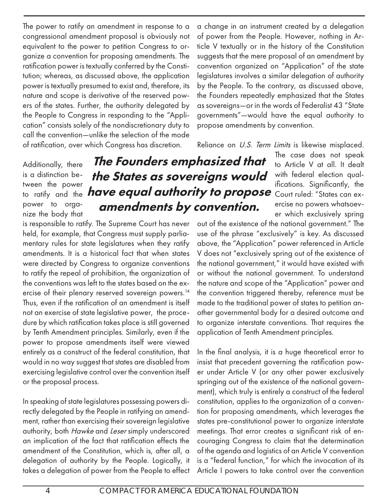The power to ratify an amendment in response to a congressional amendment proposal is obviously not equivalent to the power to petition Congress to organize a convention for proposing amendments. The ratification power is textually conferred by the Constitution; whereas, as discussed above, the application power is textually presumed to exist and, therefore, its nature and scope is derivative of the reserved powers of the states. Further, the authority delegated by the People to Congress in responding to the "Application" consists solely of the nondiscretionary duty to call the convention—unlike the selection of the mode of ratification, over which Congress has discretion.

a change in an instrument created by a delegation of power from the People. However, nothing in Article V textually or in the history of the Constitution suggests that the mere proposal of an amendment by convention organized on "Application" of the state legislatures involves a similar delegation of authority by the People. To the contrary, as discussed above, the Founders repeatedly emphasized that the States as sovereigns—or in the words of Federalist 43 "State governments"—would have the equal authority to propose amendments by convention.

Reliance on U.S. Term Limits is likewise misplaced.

Additionally, there is a distinction between the power power to organize the body that

# to ratify and the **have equal authority to propose** Court ruled: "States can ex-The Founders emphasized that the States as sovereigns would amendments by convention.

is responsible to ratify. The Supreme Court has never held, for example, that Congress must supply parliamentary rules for state legislatures when they ratify amendments. It is a historical fact that when states were directed by Congress to organize conventions to ratify the repeal of prohibition, the organization of the conventions was left to the states based on the exercise of their plenary reserved sovereign powers.<sup>14</sup> Thus, even if the ratification of an amendment is itself not an exercise of state legislative power, the procedure by which ratification takes place is still governed by Tenth Amendment principles. Similarly, even if the power to propose amendments itself were viewed entirely as a construct of the federal constitution, that would in no way suggest that states are disabled from exercising legislative control over the convention itself or the proposal process.

In speaking of state legislatures possessing powers directly delegated by the People in ratifying an amendment, rather than exercising their sovereign legislative authority, both Hawke and Leser simply underscored an implication of the fact that ratification effects the amendment of the Constitution, which is, after all, a delegation of authority by the People. Logically, it takes a delegation of power from the People to effect

The case does not speak to Article V at all. It dealt with federal election qualifications. Significantly, the ercise no powers whatsoever which exclusively spring

out of the existence of the national government." The use of the phrase "exclusively" is key. As discussed above, the "Application" power referenced in Article V does not "exclusively spring out of the existence of the national government," it would have existed with or without the national government. To understand the nature and scope of the "Application" power and the convention triggered thereby, reference must be made to the traditional power of states to petition another governmental body for a desired outcome and to organize interstate conventions. That requires the application of Tenth Amendment principles.

In the final analysis, it is a huge theoretical error to insist that precedent governing the ratification power under Article V (or any other power exclusively springing out of the existence of the national government), which truly is entirely a construct of the federal constitution, applies to the organization of a convention for proposing amendments, which leverages the states pre-constitutional power to organize interstate meetings. That error creates a significant risk of encouraging Congress to claim that the determination of the agenda and logistics of an Article V convention is a "federal function," for which the invocation of its Article I powers to take control over the convention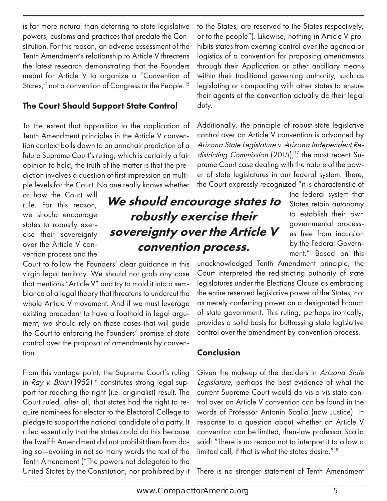is far more natural than deferring to state legislative powers, customs and practices that predate the Constitution. For this reason, an adverse assessment of the Tenth Amendment's relationship to Article V threatens the latest research demonstrating that the Founders meant for Article V to organize a "Convention of States," not a convention of Congress or the People.<sup>15</sup>

## The Court Should Support State Control

To the extent that opposition to the application of Tenth Amendment principles in the Article V convention context boils down to an armchair prediction of a future Supreme Court's ruling, which is certainly a fair opinion to hold, the truth of the matter is that the prediction involves a question of first impression on multiple levels for the Court. No one really knows whether

or how the Court will rule. For this reason, we should encourage states to robustly exercise their sovereignty over the Article V convention process and the

Court to follow the Founders' clear guidance in this virgin legal territory. We should not grab any case that mentions "Article V" and try to mold it into a semblance of a legal theory that threatens to undercut the whole Article V movement. And if we must leverage existing precedent to have a foothold in legal argument, we should rely on those cases that will guide the Court to enforcing the Founders' promise of state control over the proposal of amendments by convention.

From this vantage point, the Supreme Court's ruling in Ray v. Blair (1952)<sup>16</sup> constitutes strong legal support for reaching the right (i.e. originalist) result. The Court ruled, after all, that states had the right to require nominees for elector to the Electoral College to pledge to support the national candidate of a party. It ruled essentially that the states could do this because the Twelfth Amendment did not prohibit them from doing so—evoking in not so many words the text of the Tenth Amendment ("The powers not delegated to the United States by the Constitution, nor prohibited by it to the States, are reserved to the States respectively, or to the people"). Likewise, nothing in Article V prohibits states from exerting control over the agenda or logistics of a convention for proposing amendments through their Application or other ancillary means within their traditional governing authority, such as legislating or compacting with other states to ensure their agents at the convention actually do their legal duty.

Additionally, the principle of robust state legislative control over an Article V convention is advanced by Arizona State Legislature v. Arizona Independent Redistricting Commission (2015),<sup>17</sup> the most recent Supreme Court case dealing with the nature of the power of state legislatures in our federal system. There, the Court expressly recognized "it is characteristic of

We should encourage states to robustly exercise their sovereignty over the Article V convention process.

the federal system that States retain autonomy to establish their own governmental processes free from incursion by the Federal Government." Based on this

unacknowledged Tenth Amendment principle, the Court interpreted the redistricting authority of state legislatures under the Elections Clause as embracing the entire reserved legislative power of the States, not as merely conferring power on a designated branch of state government. This ruling, perhaps ironically, provides a solid basis for buttressing state legislative control over the amendment by convention process.

## Conclusion

Given the makeup of the deciders in Arizona State Legislature, perhaps the best evidence of what the current Supreme Court would do vis a vis state control over an Article V convention can be found in the words of Professor Antonin Scalia (now Justice). In response to a question about whether an Article V convention can be limited, then-law professor Scalia said: "There is no reason not to interpret it to allow a limited call, if that is what the states desire."<sup>18</sup>

There is no stronger statement of Tenth Amendment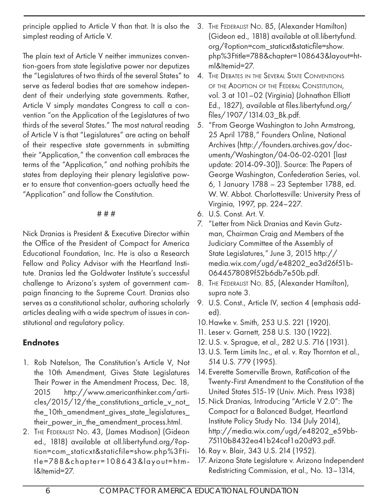principle applied to Article V than that. It is also the simplest reading of Article V.

The plain text of Article V neither immunizes convention-goers from state legislative power nor deputizes the "Legislatures of two thirds of the several States" to serve as federal bodies that are somehow independent of their underlying state governments. Rather, Article V simply mandates Congress to call a convention "on the Application of the Legislatures of two thirds of the several States." The most natural reading of Article V is that "Legislatures" are acting on behalf of their respective state governments in submitting their "Application," the convention call embraces the terms of the "Application," and nothing prohibits the states from deploying their plenary legislative power to ensure that convention-goers actually heed the "Application" and follow the Constitution.

#### # # #

Nick Dranias is President & Executive Director within the Office of the President of Compact for America Educational Foundation, Inc. He is also a Research Fellow and Policy Advisor with the Heartland Institute. Dranias led the Goldwater Institute's successful challenge to Arizona's system of government campaign financing to the Supreme Court. Dranias also serves as a constitutional scholar, authoring scholarly articles dealing with a wide spectrum of issues in constitutional and regulatory policy.

# **Endnotes**

- 1. Rob Natelson, The Constitution's Article V, Not the 10th Amendment, Gives State Legislatures Their Power in the Amendment Process, Dec. 18, 2015 http://www.americanthinker.com/articles/2015/12/the\_constitutions\_article\_v\_not\_ the\_10th\_amendment\_gives\_state\_legislatures\_ their\_power\_in\_the\_amendment\_process.html.
- 2. THE FEDERALIST NO. 43, (James Madison) (Gideon ed., 1818) available at oll.libertyfund.org/?option=com\_staticxt&staticfile=show.php%3Ftitle=788&chapter=108643&layout=html&Itemid=27.
- 3. THE FEDERALIST NO. 85, (Alexander Hamilton) (Gideon ed., 1818) available at oll.libertyfund. org/?option=com\_staticxt&staticfile=show. php%3Ftitle=788&chapter=108643&layout=html&Itemid=27.
- 4. THE DEBATES IN THE SEVERAL STATE CONVENTIONS OF THE ADOPTION OF THE FEDERAL CONSTITUTION. vol. 3 at 101–02 (Virginia) (Johnathon Elliott Ed., 1827), available at files.libertyfund.org/ files/1907/1314.03\_Bk.pdf.
- 5. "From George Washington to John Armstrong, 25 April 1788," Founders Online, National Archives (http://founders.archives.gov/documents/Washington/04-06-02-0201 [last update: 2014-09-30]). Source: The Papers of George Washington, Confederation Series, vol. 6, 1 January 1788 – 23 September 1788, ed. W. W. Abbot. Charlottesville: University Press of Virginia, 1997, pp. 224–227.
- 6. U.S. Const. Art. V.
- 7. "Letter from Nick Dranias and Kevin Gutzman, Chairman Craig and Members of the Judiciary Committee of the Assembly of State Legislatures," June 3, 2015 http:// media.wix.com/ugd/e48202\_ea3d26f51b-0644578089f52b6db7e50b.pdf.
- 8. THE FEDERALIST NO. 85, (Alexander Hamilton), supra note 3.
- 9. U.S. Const., Article IV, section 4 (emphasis added).
- 10. Hawke v. Smith, 253 U.S. 221 (1920).
- 11. Leser v. Garnett, 258 U.S. 130 (1922).
- 12. U.S. v. Sprague, et al., 282 U.S. 716 (1931).
- 13. U.S. Term Limits Inc., et al. v. Ray Thornton et al., 514 U.S. 779 (1995).
- 14. Everette Somerville Brown, Ratification of the Twenty-First Amendment to the Constitution of the United States 515-19 (Univ. Mich. Press 1938)
- 15. Nick Dranias, Introducing "Article V 2.0": The Compact for a Balanced Budget, Heartland Institute Policy Study No. 134 (July 2014), http://media.wix.com/ugd/e48202\_e59bb-75110b8432ea41b24caf1a20d93.pdf.
- 16. Ray v. Blair, 343 U.S. 214 (1952).
- 17. Arizona State Legislature v. Arizona Independent Redistricting Commission, et al., No. 13–1314,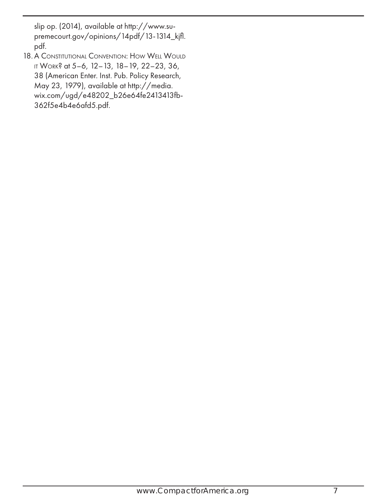slip op. (2014), available at http://www.supremecourt.gov/opinions/14pdf/13-1314\_kjfl. pdf.

18. A CONSTITUTIONAL CONVENTION: HOW WELL WOULD IT WORK? at 5-6, 12-13, 18-19, 22-23, 36, 38 (American Enter. Inst. Pub. Policy Research, May 23, 1979), available at http://media. wix.com/ugd/e48202\_b26e64fe2413413fb-362f5e4b4e6afd5.pdf.